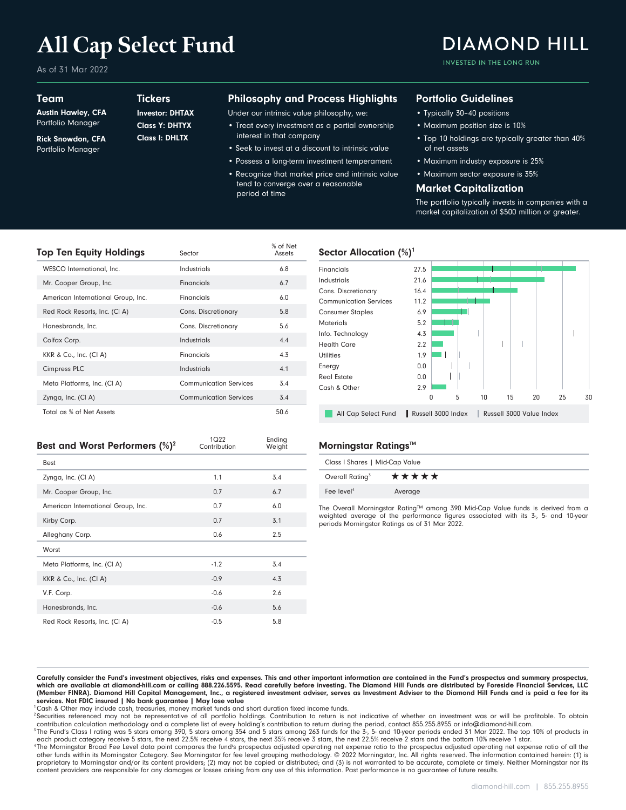# **All Cap Select Fund**

As of 31 Mar 2022

### Team

Austin Hawley, CFA Portfolio Manager

Rick Snowdon, CFA Portfolio Manager

## **Tickers**

Class I: DHLTX Class Y: DHTYX Investor: DHTAX

### Philosophy and Process Highlights

Under our intrinsic value philosophy, we:

- Treat every investment as a partial ownership interest in that company
- Seek to invest at a discount to intrinsic value
- Possess a long-term investment temperament • Recognize that market price and intrinsic value tend to converge over a reasonable

period of time

### Portfolio Guidelines

- Typically 30–40 positions
- Maximum position size is 10%
- Top 10 holdings are typically greater than 40% of net assets

INVESTED IN THE LONG RUN

**DIAMOND HILL** 

- Maximum industry exposure is 25%
- Maximum sector exposure is 35%

### Market Capitalization

The portfolio typically invests in companies with a market capitalization of \$500 million or greater.

| Top Ten Equity Holdings            | Sector                        | % of Net<br>Assets |
|------------------------------------|-------------------------------|--------------------|
| WESCO International, Inc.          | Industrials                   | 6.8                |
| Mr. Cooper Group, Inc.             | Financials                    | 6.7                |
| American International Group, Inc. | Financials                    | 6.0                |
| Red Rock Resorts, Inc. (CI A)      | Cons. Discretionary           | 5.8                |
| Hanesbrands, Inc.                  | Cons. Discretionary           | 5.6                |
| Colfax Corp.                       | Industrials                   | 4.4                |
| KKR & Co., Inc. (CI A)             | Financials                    | 4.3                |
| <b>Cimpress PLC</b>                | Industrials                   | 4.1                |
| Meta Platforms, Inc. (CI A)        | <b>Communication Services</b> | 3.4                |
| Zynga, Inc. (CI A)                 | <b>Communication Services</b> | 3.4                |
| Total as % of Net Assets           |                               | 50.6               |

# Sector Allocation (%)<sup>1</sup>



| Best and Worst Performers $(\%)^2$ | 1Q22<br>Contribution | Ending<br>Weight |
|------------------------------------|----------------------|------------------|
| <b>Best</b>                        |                      |                  |
| Zynga, Inc. (CI A)                 | 1.1                  | 3.4              |
| Mr. Cooper Group, Inc.             | 0.7                  | 6.7              |
| American International Group, Inc. | 0.7                  | 6.0              |
| Kirby Corp.                        | 0.7                  | 3.1              |
| Alleghany Corp.                    | 0.6                  | 2.5              |
| Worst                              |                      |                  |
| Meta Platforms, Inc. (CI A)        | $-1.2$               | 3.4              |
| KKR & Co., Inc. (CI A)             | $-0.9$               | 4.3              |
| V.F. Corp.                         | $-0.6$               | 2.6              |
| Hanesbrands, Inc.                  | $-0.6$               | 5.6              |
| Red Rock Resorts, Inc. (CI A)      | $-0.5$               | 5.8              |

#### **Morningstar Ratings™**

| Class I Shares   Mid-Cap Value |         |  |  |  |  |
|--------------------------------|---------|--|--|--|--|
| Overall Rating <sup>3</sup>    | *****   |  |  |  |  |
| Fee level <sup>4</sup>         | Average |  |  |  |  |

The Overall Morningstar Rating™ among 390 Mid-Cap Value funds is derived from a weighted average of the performance figures associated with its 3-, 5- and 10-year periods Morningstar Ratings as of 31 Mar 2022.

Carefully consider the Fund's investment objectives, risks and expenses. This and other important information are contained in the Fund's prospectus and summary prospectus, which are available at diamond-hill.com or calling 888.226.5595. Read carefully before investing. The Diamond Hill Funds are distributed by Foreside Financial Services, LLC (Member FINRA). Diamond Hill Capital Management, Inc., a registered investment adviser, serves as Investment Adviser to the Diamond Hill Funds and is paid a fee for its services. Not FDIC insured | No bank guarantee | May lose value

<sup>1</sup>Cash & Other may include cash, treasuries, money market funds and short duration fixed income funds.

<sup>2</sup> Securities referenced may not be representative of all portfolio holdings. Contribution to return is not indicative of whether an investment was or will be profitable. To obtain contribution calculation methodology and a complete list of every holding's contribution to return during the period, contact 855.255.8955 or info@diamond-hill.com.

3 The Fund's Class I rating was 5 stars among 390, 5 stars among 354 and 5 stars among 263 funds for the 3-, 5- and 10-year periods ended 31 Mar 2022. The top 10% of products in each product category receive 5 stars, the next 22.5% receive 4 stars, the next 35% receive 3 stars, the next 22.5% receive 2 stars and the bottom 10% receive 1 star.

<sup>4</sup>The Morningstar Broad Fee Level data point compares the fund's prospectus adjusted operating net expense ratio of all the orospectus adjusted operating net expense ratio of all the other funds within its Morningstar Category. See Morningstar for fee level grouping methodology. © 2022 Morningstar, Inc. All rights reserved. The information contained herein: (1) is proprietary to Morningstar and/or its content providers; (2) may not be copied or distributed; and (3) is not warranted to be accurate, complete or timely. Neither Morningstar nor its content providers are responsible for any damages or losses arising from any use of this information. Past performance is no guarantee of future results.